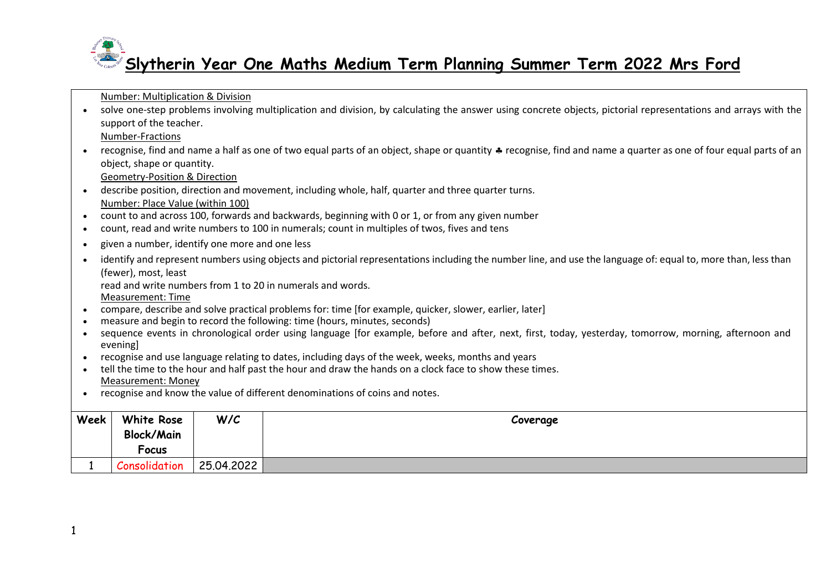Number: Multiplication & Division

• solve one-step problems involving multiplication and division, by calculating the answer using concrete objects, pictorial representations and arrays with the support of the teacher.

Number-Fractions

• recognise, find and name a half as one of two equal parts of an object, shape or quantity  $\clubsuit$  recognise, find and name a quarter as one of four equal parts of an object, shape or quantity.

Geometry-Position & Direction

- describe position, direction and movement, including whole, half, quarter and three quarter turns. Number: Place Value (within 100)
- count to and across 100, forwards and backwards, beginning with 0 or 1, or from any given number
- count, read and write numbers to 100 in numerals; count in multiples of twos, fives and tens
- given a number, identify one more and one less
- identify and represent numbers using objects and pictorial representations including the number line, and use the language of: equal to, more than, less than (fewer), most, least

read and write numbers from 1 to 20 in numerals and words.

Measurement: Time

- compare, describe and solve practical problems for: time [for example, quicker, slower, earlier, later]
- measure and begin to record the following: time (hours, minutes, seconds)
- sequence events in chronological order using language [for example, before and after, next, first, today, yesterday, tomorrow, morning, afternoon and evening]
- recognise and use language relating to dates, including days of the week, weeks, months and years
- tell the time to the hour and half past the hour and draw the hands on a clock face to show these times. Measurement: Money
- recognise and know the value of different denominations of coins and notes.

| Week | White Rose        | W/C        | Coverage |
|------|-------------------|------------|----------|
|      | <b>Block/Main</b> |            |          |
|      | Focus             |            |          |
|      | Consolidation     | 25.04.2022 |          |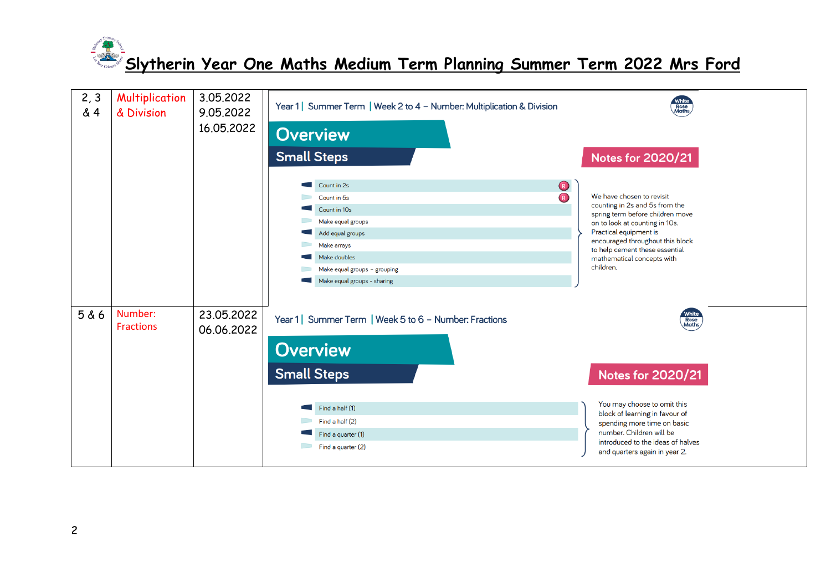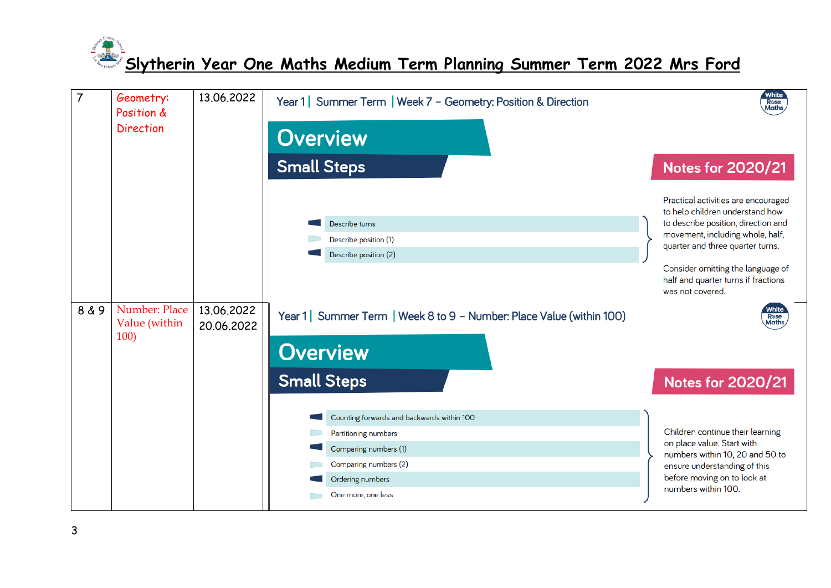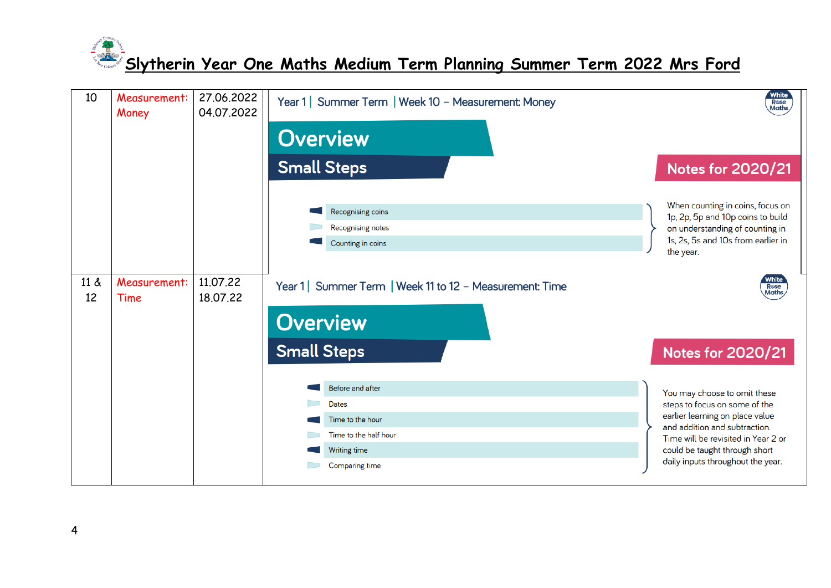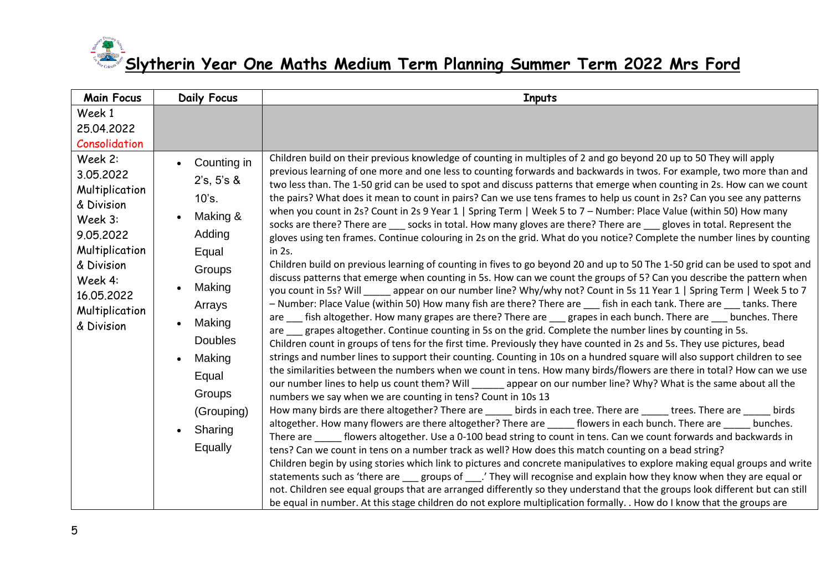| <b>Main Focus</b>                                                                                                                                                                                              | <b>Daily Focus</b>                                                                                                      | <b>Inputs</b>                                                                                                                                                                                                                                                                                                                                                                                                                                                                                                                                                                                                                                                                                                                                                                                                                                                                                                                                                                                                                                                                                                                                                                                                                                                                                                                                                                                                                                                                                                                                                                                                                                                                                                                                                                                                                                                                                                                                                                                                                                                                                                                                                                                                                                                                                        |
|----------------------------------------------------------------------------------------------------------------------------------------------------------------------------------------------------------------|-------------------------------------------------------------------------------------------------------------------------|------------------------------------------------------------------------------------------------------------------------------------------------------------------------------------------------------------------------------------------------------------------------------------------------------------------------------------------------------------------------------------------------------------------------------------------------------------------------------------------------------------------------------------------------------------------------------------------------------------------------------------------------------------------------------------------------------------------------------------------------------------------------------------------------------------------------------------------------------------------------------------------------------------------------------------------------------------------------------------------------------------------------------------------------------------------------------------------------------------------------------------------------------------------------------------------------------------------------------------------------------------------------------------------------------------------------------------------------------------------------------------------------------------------------------------------------------------------------------------------------------------------------------------------------------------------------------------------------------------------------------------------------------------------------------------------------------------------------------------------------------------------------------------------------------------------------------------------------------------------------------------------------------------------------------------------------------------------------------------------------------------------------------------------------------------------------------------------------------------------------------------------------------------------------------------------------------------------------------------------------------------------------------------------------------|
| Week 1<br>25.04.2022<br>Consolidation<br>Week 2:<br>3.05.2022<br>Multiplication<br>& Division<br>Week 3:<br>9.05.2022<br>Multiplication<br>& Division<br>Week 4:<br>16.05.2022<br>Multiplication<br>& Division | Counting in<br>2's, 5's &<br>10's.<br>Making &<br>Adding<br>Equal                                                       | Children build on their previous knowledge of counting in multiples of 2 and go beyond 20 up to 50 They will apply<br>previous learning of one more and one less to counting forwards and backwards in twos. For example, two more than and<br>two less than. The 1-50 grid can be used to spot and discuss patterns that emerge when counting in 2s. How can we count<br>the pairs? What does it mean to count in pairs? Can we use tens frames to help us count in 2s? Can you see any patterns<br>when you count in 2s? Count in 2s 9 Year 1   Spring Term   Week 5 to 7 - Number: Place Value (within 50) How many<br>socks are there? There are socks in total. How many gloves are there? There are gloves in total. Represent the<br>gloves using ten frames. Continue colouring in 2s on the grid. What do you notice? Complete the number lines by counting<br>in 2s.                                                                                                                                                                                                                                                                                                                                                                                                                                                                                                                                                                                                                                                                                                                                                                                                                                                                                                                                                                                                                                                                                                                                                                                                                                                                                                                                                                                                                       |
|                                                                                                                                                                                                                | Groups<br>Making<br>Arrays<br>Making<br><b>Doubles</b><br>Making<br>Equal<br>Groups<br>(Grouping)<br>Sharing<br>Equally | Children build on previous learning of counting in fives to go beyond 20 and up to 50 The 1-50 grid can be used to spot and<br>discuss patterns that emerge when counting in 5s. How can we count the groups of 5? Can you describe the pattern when<br>you count in 5s? Will ______ appear on our number line? Why/why not? Count in 5s 11 Year 1   Spring Term   Week 5 to 7<br>- Number: Place Value (within 50) How many fish are there? There are fish in each tank. There are tanks. There<br>are fish altogether. How many grapes are there? There are grapes in each bunch. There are bunches. There<br>are grapes altogether. Continue counting in 5s on the grid. Complete the number lines by counting in 5s.<br>Children count in groups of tens for the first time. Previously they have counted in 2s and 5s. They use pictures, bead<br>strings and number lines to support their counting. Counting in 10s on a hundred square will also support children to see<br>the similarities between the numbers when we count in tens. How many birds/flowers are there in total? How can we use<br>our number lines to help us count them? Will ________ appear on our number line? Why? What is the same about all the<br>numbers we say when we are counting in tens? Count in 10s 13<br>How many birds are there altogether? There are _____ birds in each tree. There are _____ trees. There are _____ birds<br>altogether. How many flowers are there altogether? There are _____ flowers in each bunch. There are _____ bunches.<br>There are _______ flowers altogether. Use a 0-100 bead string to count in tens. Can we count forwards and backwards in<br>tens? Can we count in tens on a number track as well? How does this match counting on a bead string?<br>Children begin by using stories which link to pictures and concrete manipulatives to explore making equal groups and write<br>statements such as 'there are ___ groups of ___.' They will recognise and explain how they know when they are equal or<br>not. Children see equal groups that are arranged differently so they understand that the groups look different but can still<br>be equal in number. At this stage children do not explore multiplication formally. . How do I know that the groups are |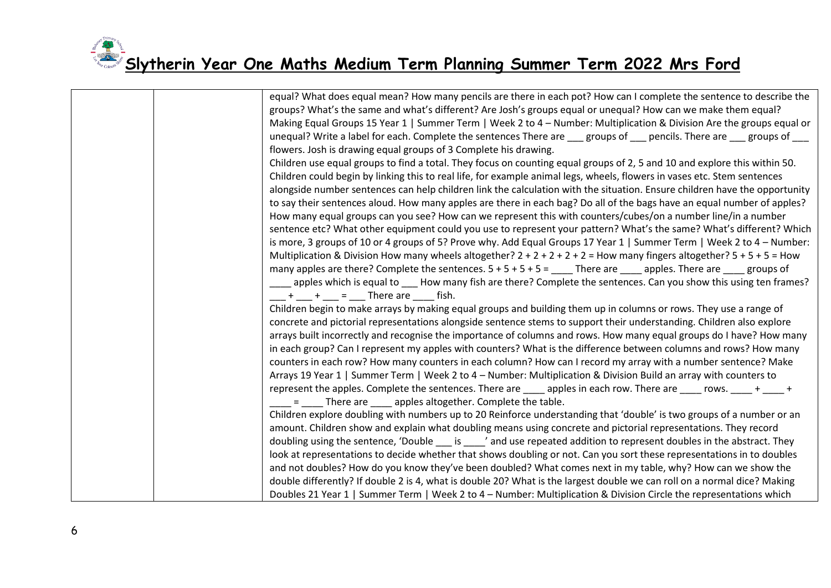| equal? What does equal mean? How many pencils are there in each pot? How can I complete the sentence to describe the<br>groups? What's the same and what's different? Are Josh's groups equal or unequal? How can we make them equal?             |
|---------------------------------------------------------------------------------------------------------------------------------------------------------------------------------------------------------------------------------------------------|
| Making Equal Groups 15 Year 1   Summer Term   Week 2 to 4 – Number: Multiplication & Division Are the groups equal or<br>unequal? Write a label for each. Complete the sentences There are ___ groups of ___ pencils. There are ___ groups of ___ |
| flowers. Josh is drawing equal groups of 3 Complete his drawing.                                                                                                                                                                                  |
| Children use equal groups to find a total. They focus on counting equal groups of 2, 5 and 10 and explore this within 50.                                                                                                                         |
| Children could begin by linking this to real life, for example animal legs, wheels, flowers in vases etc. Stem sentences                                                                                                                          |
| alongside number sentences can help children link the calculation with the situation. Ensure children have the opportunity                                                                                                                        |
| to say their sentences aloud. How many apples are there in each bag? Do all of the bags have an equal number of apples?                                                                                                                           |
| How many equal groups can you see? How can we represent this with counters/cubes/on a number line/in a number                                                                                                                                     |
| sentence etc? What other equipment could you use to represent your pattern? What's the same? What's different? Which                                                                                                                              |
| is more, 3 groups of 10 or 4 groups of 5? Prove why. Add Equal Groups 17 Year 1   Summer Term   Week 2 to 4 – Number:                                                                                                                             |
| Multiplication & Division How many wheels altogether? $2 + 2 + 2 + 2 + 2 =$ How many fingers altogether? $5 + 5 + 5 =$ How                                                                                                                        |
| many apples are there? Complete the sentences. $5 + 5 + 5 + 5 =$ There are _____ apples. There are _____ groups of                                                                                                                                |
| apples which is equal to ____ How many fish are there? Complete the sentences. Can you show this using ten frames?                                                                                                                                |
| $+$ $+$ $=$ There are fish.                                                                                                                                                                                                                       |
| Children begin to make arrays by making equal groups and building them up in columns or rows. They use a range of                                                                                                                                 |
| concrete and pictorial representations alongside sentence stems to support their understanding. Children also explore                                                                                                                             |
| arrays built incorrectly and recognise the importance of columns and rows. How many equal groups do I have? How many                                                                                                                              |
| in each group? Can I represent my apples with counters? What is the difference between columns and rows? How many                                                                                                                                 |
| counters in each row? How many counters in each column? How can I record my array with a number sentence? Make                                                                                                                                    |
| Arrays 19 Year 1   Summer Term   Week 2 to 4 - Number: Multiplication & Division Build an array with counters to                                                                                                                                  |
| represent the apples. Complete the sentences. There are entity apples in each row. There are entity rows. The theory of the sentences of the sentences of the sentences of the sentences of the sentences of the sentences of                     |
| = There are _____ apples altogether. Complete the table.                                                                                                                                                                                          |
| Children explore doubling with numbers up to 20 Reinforce understanding that 'double' is two groups of a number or an                                                                                                                             |
| amount. Children show and explain what doubling means using concrete and pictorial representations. They record                                                                                                                                   |
| doubling using the sentence, 'Double ___ is ____' and use repeated addition to represent doubles in the abstract. They                                                                                                                            |
| look at representations to decide whether that shows doubling or not. Can you sort these representations in to doubles                                                                                                                            |
| and not doubles? How do you know they've been doubled? What comes next in my table, why? How can we show the                                                                                                                                      |
| double differently? If double 2 is 4, what is double 20? What is the largest double we can roll on a normal dice? Making                                                                                                                          |
| Doubles 21 Year 1   Summer Term   Week 2 to 4 – Number: Multiplication & Division Circle the representations which                                                                                                                                |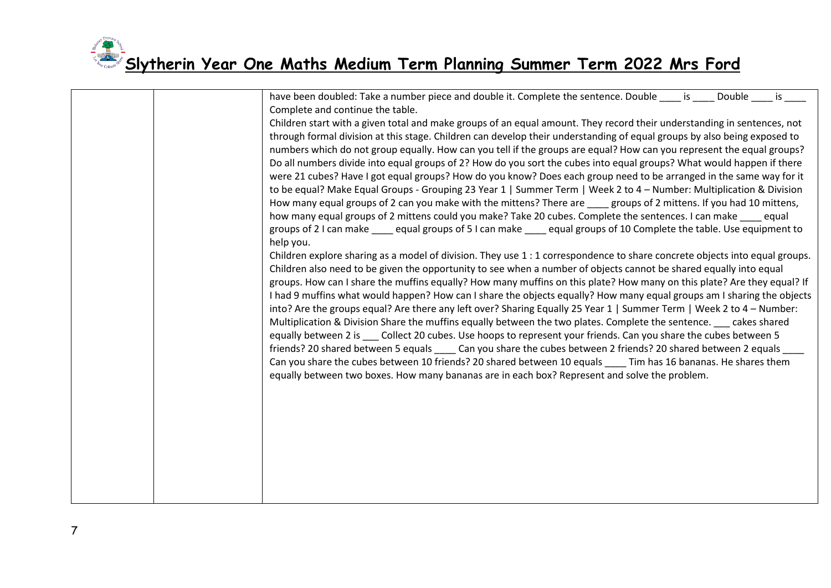|  | have been doubled: Take a number piece and double it. Complete the sentence. Double _____ is _____ Double<br>is a control<br>Complete and continue the table.                                                                                  |
|--|------------------------------------------------------------------------------------------------------------------------------------------------------------------------------------------------------------------------------------------------|
|  | Children start with a given total and make groups of an equal amount. They record their understanding in sentences, not                                                                                                                        |
|  | through formal division at this stage. Children can develop their understanding of equal groups by also being exposed to                                                                                                                       |
|  | numbers which do not group equally. How can you tell if the groups are equal? How can you represent the equal groups?                                                                                                                          |
|  | Do all numbers divide into equal groups of 2? How do you sort the cubes into equal groups? What would happen if there                                                                                                                          |
|  | were 21 cubes? Have I got equal groups? How do you know? Does each group need to be arranged in the same way for it                                                                                                                            |
|  | to be equal? Make Equal Groups - Grouping 23 Year 1   Summer Term   Week 2 to 4 - Number: Multiplication & Division                                                                                                                            |
|  | How many equal groups of 2 can you make with the mittens? There are stroups of 2 mittens. If you had 10 mittens,                                                                                                                               |
|  | how many equal groups of 2 mittens could you make? Take 20 cubes. Complete the sentences. I can make equal                                                                                                                                     |
|  | groups of 2 I can make equal groups of 5 I can make equal groups of 10 Complete the table. Use equipment to                                                                                                                                    |
|  | help you.                                                                                                                                                                                                                                      |
|  | Children explore sharing as a model of division. They use 1 : 1 correspondence to share concrete objects into equal groups.                                                                                                                    |
|  | Children also need to be given the opportunity to see when a number of objects cannot be shared equally into equal                                                                                                                             |
|  | groups. How can I share the muffins equally? How many muffins on this plate? How many on this plate? Are they equal? If                                                                                                                        |
|  | I had 9 muffins what would happen? How can I share the objects equally? How many equal groups am I sharing the objects<br>into? Are the groups equal? Are there any left over? Sharing Equally 25 Year 1   Summer Term   Week 2 to 4 - Number: |
|  | Multiplication & Division Share the muffins equally between the two plates. Complete the sentence. ___ cakes shared                                                                                                                            |
|  | equally between 2 is ____ Collect 20 cubes. Use hoops to represent your friends. Can you share the cubes between 5                                                                                                                             |
|  | friends? 20 shared between 5 equals _____ Can you share the cubes between 2 friends? 20 shared between 2 equals                                                                                                                                |
|  | Can you share the cubes between 10 friends? 20 shared between 10 equals _____ Tim has 16 bananas. He shares them                                                                                                                               |
|  | equally between two boxes. How many bananas are in each box? Represent and solve the problem.                                                                                                                                                  |
|  |                                                                                                                                                                                                                                                |
|  |                                                                                                                                                                                                                                                |
|  |                                                                                                                                                                                                                                                |
|  |                                                                                                                                                                                                                                                |
|  |                                                                                                                                                                                                                                                |
|  |                                                                                                                                                                                                                                                |
|  |                                                                                                                                                                                                                                                |
|  |                                                                                                                                                                                                                                                |
|  |                                                                                                                                                                                                                                                |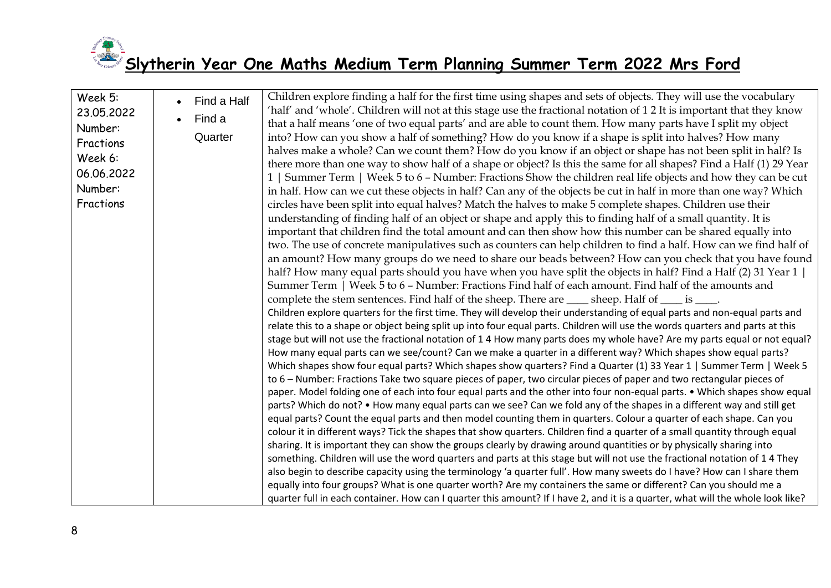

| Week 5:<br>23.05.2022<br>Number:<br>Fractions<br>Week 6:<br>06.06.2022<br>Number:<br>Fractions | Find a Half<br>$\bullet$<br>Find a<br>Quarter | Children explore finding a half for the first time using shapes and sets of objects. They will use the vocabulary<br>'half' and 'whole'. Children will not at this stage use the fractional notation of 12 It is important that they know<br>that a half means 'one of two equal parts' and are able to count them. How many parts have I split my object<br>into? How can you show a half of something? How do you know if a shape is split into halves? How many<br>halves make a whole? Can we count them? How do you know if an object or shape has not been split in half? Is<br>there more than one way to show half of a shape or object? Is this the same for all shapes? Find a Half (1) 29 Year<br>1   Summer Term   Week 5 to 6 - Number: Fractions Show the children real life objects and how they can be cut<br>in half. How can we cut these objects in half? Can any of the objects be cut in half in more than one way? Which<br>circles have been split into equal halves? Match the halves to make 5 complete shapes. Children use their<br>understanding of finding half of an object or shape and apply this to finding half of a small quantity. It is<br>important that children find the total amount and can then show how this number can be shared equally into<br>two. The use of concrete manipulatives such as counters can help children to find a half. How can we find half of<br>an amount? How many groups do we need to share our beads between? How can you check that you have found<br>half? How many equal parts should you have when you have split the objects in half? Find a Half (2) 31 Year 1  <br>Summer Term   Week 5 to 6 - Number: Fractions Find half of each amount. Find half of the amounts and<br>complete the stem sentences. Find half of the sheep. There are _____ sheep. Half of ____ is ____.<br>Children explore quarters for the first time. They will develop their understanding of equal parts and non-equal parts and<br>relate this to a shape or object being split up into four equal parts. Children will use the words quarters and parts at this<br>stage but will not use the fractional notation of 1 4 How many parts does my whole have? Are my parts equal or not equal?<br>How many equal parts can we see/count? Can we make a quarter in a different way? Which shapes show equal parts?<br>Which shapes show four equal parts? Which shapes show quarters? Find a Quarter (1) 33 Year 1   Summer Term   Week 5<br>to 6 – Number: Fractions Take two square pieces of paper, two circular pieces of paper and two rectangular pieces of<br>paper. Model folding one of each into four equal parts and the other into four non-equal parts. • Which shapes show equal<br>parts? Which do not? • How many equal parts can we see? Can we fold any of the shapes in a different way and still get<br>equal parts? Count the equal parts and then model counting them in quarters. Colour a quarter of each shape. Can you<br>colour it in different ways? Tick the shapes that show quarters. Children find a quarter of a small quantity through equal<br>sharing. It is important they can show the groups clearly by drawing around quantities or by physically sharing into<br>something. Children will use the word quarters and parts at this stage but will not use the fractional notation of 14 They<br>also begin to describe capacity using the terminology 'a quarter full'. How many sweets do I have? How can I share them<br>equally into four groups? What is one quarter worth? Are my containers the same or different? Can you should me a<br>quarter full in each container. How can I quarter this amount? If I have 2, and it is a quarter, what will the whole look like? |
|------------------------------------------------------------------------------------------------|-----------------------------------------------|--------------------------------------------------------------------------------------------------------------------------------------------------------------------------------------------------------------------------------------------------------------------------------------------------------------------------------------------------------------------------------------------------------------------------------------------------------------------------------------------------------------------------------------------------------------------------------------------------------------------------------------------------------------------------------------------------------------------------------------------------------------------------------------------------------------------------------------------------------------------------------------------------------------------------------------------------------------------------------------------------------------------------------------------------------------------------------------------------------------------------------------------------------------------------------------------------------------------------------------------------------------------------------------------------------------------------------------------------------------------------------------------------------------------------------------------------------------------------------------------------------------------------------------------------------------------------------------------------------------------------------------------------------------------------------------------------------------------------------------------------------------------------------------------------------------------------------------------------------------------------------------------------------------------------------------------------------------------------------------------------------------------------------------------------------------------------------------------------------------------------------------------------------------------------------------------------------------------------------------------------------------------------------------------------------------------------------------------------------------------------------------------------------------------------------------------------------------------------------------------------------------------------------------------------------------------------------------------------------------------------------------------------------------------------------------------------------------------------------------------------------------------------------------------------------------------------------------------------------------------------------------------------------------------------------------------------------------------------------------------------------------------------------------------------------------------------------------------------------------------------------------------------------------------------------------------------------------------------------------------------------------------------------------------------------------------------------------------------------------------------------------------------------------------------------------------------------------------------------------------------------------------------------------------------------------------------------------------------------------------------------------------------------------------------------------------------------------------------------------------------------------------------------|
|------------------------------------------------------------------------------------------------|-----------------------------------------------|--------------------------------------------------------------------------------------------------------------------------------------------------------------------------------------------------------------------------------------------------------------------------------------------------------------------------------------------------------------------------------------------------------------------------------------------------------------------------------------------------------------------------------------------------------------------------------------------------------------------------------------------------------------------------------------------------------------------------------------------------------------------------------------------------------------------------------------------------------------------------------------------------------------------------------------------------------------------------------------------------------------------------------------------------------------------------------------------------------------------------------------------------------------------------------------------------------------------------------------------------------------------------------------------------------------------------------------------------------------------------------------------------------------------------------------------------------------------------------------------------------------------------------------------------------------------------------------------------------------------------------------------------------------------------------------------------------------------------------------------------------------------------------------------------------------------------------------------------------------------------------------------------------------------------------------------------------------------------------------------------------------------------------------------------------------------------------------------------------------------------------------------------------------------------------------------------------------------------------------------------------------------------------------------------------------------------------------------------------------------------------------------------------------------------------------------------------------------------------------------------------------------------------------------------------------------------------------------------------------------------------------------------------------------------------------------------------------------------------------------------------------------------------------------------------------------------------------------------------------------------------------------------------------------------------------------------------------------------------------------------------------------------------------------------------------------------------------------------------------------------------------------------------------------------------------------------------------------------------------------------------------------------------------------------------------------------------------------------------------------------------------------------------------------------------------------------------------------------------------------------------------------------------------------------------------------------------------------------------------------------------------------------------------------------------------------------------------------------------------------------------------------------------|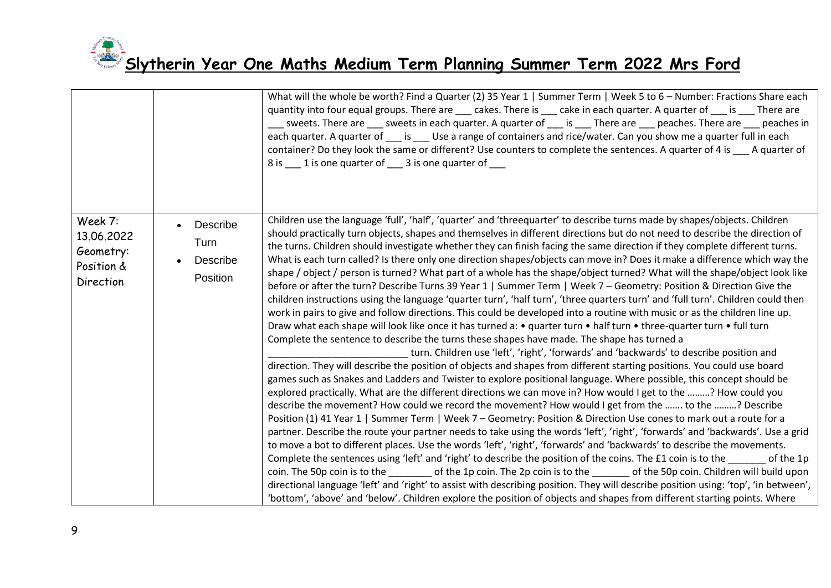|                                                               |                                                       | What will the whole be worth? Find a Quarter (2) 35 Year 1   Summer Term   Week 5 to 6 - Number: Fractions Share each<br>quantity into four equal groups. There are ____ cakes. There is ___ cake in each quarter. A quarter of ___ is ___ There are<br>sweets. There are sweets in each quarter. A quarter of is There are peaches. There are peaches in<br>each quarter. A quarter of ____ is ____ Use a range of containers and rice/water. Can you show me a quarter full in each<br>container? Do they look the same or different? Use counters to complete the sentences. A quarter of 4 is ___ A quarter of<br>8 is 1 is one quarter of 3 is one quarter of                                                                                                                                                                                                                                                                                                                                                                                                                                                                                                                                                                                                                                                                                                                                                                                                                                                                                                                                                                                                                                                                                                                                                                                                                                                                                                                                                                                                                                                                                                                                                                                                                                                                                                                                                                                                                                                                                                                                                                                                                                                             |
|---------------------------------------------------------------|-------------------------------------------------------|--------------------------------------------------------------------------------------------------------------------------------------------------------------------------------------------------------------------------------------------------------------------------------------------------------------------------------------------------------------------------------------------------------------------------------------------------------------------------------------------------------------------------------------------------------------------------------------------------------------------------------------------------------------------------------------------------------------------------------------------------------------------------------------------------------------------------------------------------------------------------------------------------------------------------------------------------------------------------------------------------------------------------------------------------------------------------------------------------------------------------------------------------------------------------------------------------------------------------------------------------------------------------------------------------------------------------------------------------------------------------------------------------------------------------------------------------------------------------------------------------------------------------------------------------------------------------------------------------------------------------------------------------------------------------------------------------------------------------------------------------------------------------------------------------------------------------------------------------------------------------------------------------------------------------------------------------------------------------------------------------------------------------------------------------------------------------------------------------------------------------------------------------------------------------------------------------------------------------------------------------------------------------------------------------------------------------------------------------------------------------------------------------------------------------------------------------------------------------------------------------------------------------------------------------------------------------------------------------------------------------------------------------------------------------------------------------------------------------------|
| Week 7:<br>13.06.2022<br>Geometry:<br>Position &<br>Direction | Describe<br>$\bullet$<br>Turn<br>Describe<br>Position | Children use the language 'full', 'half', 'quarter' and 'threequarter' to describe turns made by shapes/objects. Children<br>should practically turn objects, shapes and themselves in different directions but do not need to describe the direction of<br>the turns. Children should investigate whether they can finish facing the same direction if they complete different turns.<br>What is each turn called? Is there only one direction shapes/objects can move in? Does it make a difference which way the<br>shape / object / person is turned? What part of a whole has the shape/object turned? What will the shape/object look like<br>before or after the turn? Describe Turns 39 Year 1   Summer Term   Week 7 – Geometry: Position & Direction Give the<br>children instructions using the language 'quarter turn', 'half turn', 'three quarters turn' and 'full turn'. Children could then<br>work in pairs to give and follow directions. This could be developed into a routine with music or as the children line up.<br>Draw what each shape will look like once it has turned a: • quarter turn • half turn • three-quarter turn • full turn<br>Complete the sentence to describe the turns these shapes have made. The shape has turned a<br>turn. Children use 'left', 'right', 'forwards' and 'backwards' to describe position and<br>direction. They will describe the position of objects and shapes from different starting positions. You could use board<br>games such as Snakes and Ladders and Twister to explore positional language. Where possible, this concept should be<br>explored practically. What are the different directions we can move in? How would I get to the ? How could you<br>describe the movement? How could we record the movement? How would I get from the  to the ? Describe<br>Position (1) 41 Year 1   Summer Term   Week 7 - Geometry: Position & Direction Use cones to mark out a route for a<br>partner. Describe the route your partner needs to take using the words 'left', 'right', 'forwards' and 'backwards'. Use a grid<br>to move a bot to different places. Use the words 'left', 'right', 'forwards' and 'backwards' to describe the movements.<br>Complete the sentences using 'left' and 'right' to describe the position of the coins. The £1 coin is to the<br>of the 1p<br>coin. The 50p coin is to the sop coin is to the sop coin. The 50p coin. Children will build upon<br>directional language 'left' and 'right' to assist with describing position. They will describe position using: 'top', 'in between',<br>'bottom', 'above' and 'below'. Children explore the position of objects and shapes from different starting points. Where |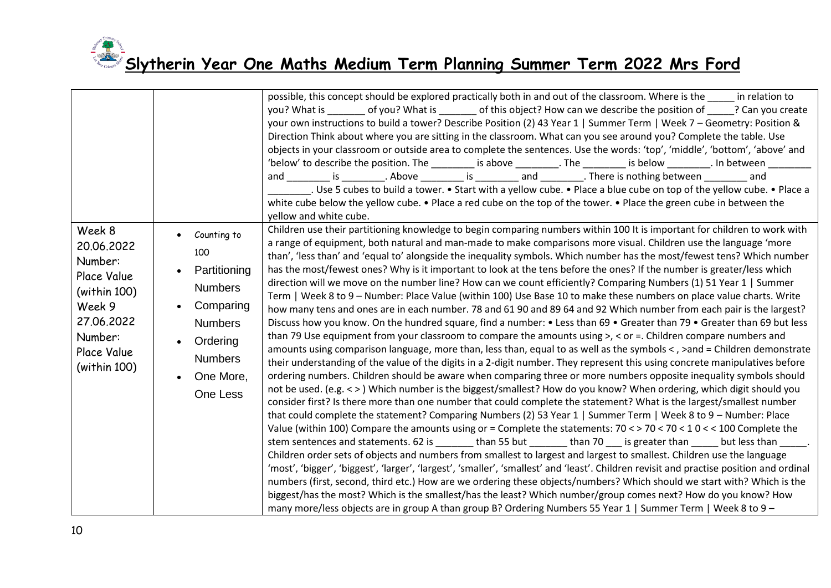|                                                                                                                                  |                                                                                                                                            | possible, this concept should be explored practically both in and out of the classroom. Where is the in relation to<br>you? What is _______ of you? What is ______ of this object? How can we describe the position of ____? Can you create<br>your own instructions to build a tower? Describe Position (2) 43 Year 1   Summer Term   Week 7 - Geometry: Position &<br>Direction Think about where you are sitting in the classroom. What can you see around you? Complete the table. Use<br>objects in your classroom or outside area to complete the sentences. Use the words: 'top', 'middle', 'bottom', 'above' and<br>'below' to describe the position. The ________ is above _________. The _________ is below ________. In between<br>and is Above is and There is nothing between and<br>L. Use 5 cubes to build a tower. • Start with a yellow cube. • Place a blue cube on top of the yellow cube. • Place a<br>white cube below the yellow cube. • Place a red cube on the top of the tower. • Place the green cube in between the<br>yellow and white cube.                                                                                                                                                                                                                                                                                                                                                                                                                                                                                                                                                                                                                                                                                                                                                                                                                                                                                                                                                                                                                                                                                                                                                                                                                                                                                                                                                                                                                                                                                                                                                                                                                                                                                       |
|----------------------------------------------------------------------------------------------------------------------------------|--------------------------------------------------------------------------------------------------------------------------------------------|----------------------------------------------------------------------------------------------------------------------------------------------------------------------------------------------------------------------------------------------------------------------------------------------------------------------------------------------------------------------------------------------------------------------------------------------------------------------------------------------------------------------------------------------------------------------------------------------------------------------------------------------------------------------------------------------------------------------------------------------------------------------------------------------------------------------------------------------------------------------------------------------------------------------------------------------------------------------------------------------------------------------------------------------------------------------------------------------------------------------------------------------------------------------------------------------------------------------------------------------------------------------------------------------------------------------------------------------------------------------------------------------------------------------------------------------------------------------------------------------------------------------------------------------------------------------------------------------------------------------------------------------------------------------------------------------------------------------------------------------------------------------------------------------------------------------------------------------------------------------------------------------------------------------------------------------------------------------------------------------------------------------------------------------------------------------------------------------------------------------------------------------------------------------------------------------------------------------------------------------------------------------------------------------------------------------------------------------------------------------------------------------------------------------------------------------------------------------------------------------------------------------------------------------------------------------------------------------------------------------------------------------------------------------------------------------------------------------------------------------------------------|
| Week 8<br>20.06.2022<br>Number:<br>Place Value<br>(within 100)<br>Week 9<br>27.06.2022<br>Number:<br>Place Value<br>(within 100) | Counting to<br>100<br>Partitioning<br><b>Numbers</b><br>Comparing<br><b>Numbers</b><br>Ordering<br><b>Numbers</b><br>One More,<br>One Less | Children use their partitioning knowledge to begin comparing numbers within 100 It is important for children to work with<br>a range of equipment, both natural and man-made to make comparisons more visual. Children use the language 'more<br>than', 'less than' and 'equal to' alongside the inequality symbols. Which number has the most/fewest tens? Which number<br>has the most/fewest ones? Why is it important to look at the tens before the ones? If the number is greater/less which<br>direction will we move on the number line? How can we count efficiently? Comparing Numbers (1) 51 Year 1   Summer<br>Term   Week 8 to 9 - Number: Place Value (within 100) Use Base 10 to make these numbers on place value charts. Write<br>how many tens and ones are in each number. 78 and 61 90 and 89 64 and 92 Which number from each pair is the largest?<br>Discuss how you know. On the hundred square, find a number: • Less than 69 • Greater than 79 • Greater than 69 but less<br>than 79 Use equipment from your classroom to compare the amounts using $>$ , $\lt$ or =. Children compare numbers and<br>amounts using comparison language, more than, less than, equal to as well as the symbols <, >and = Children demonstrate<br>their understanding of the value of the digits in a 2-digit number. They represent this using concrete manipulatives before<br>ordering numbers. Children should be aware when comparing three or more numbers opposite inequality symbols should<br>not be used. (e.g. < >) Which number is the biggest/smallest? How do you know? When ordering, which digit should you<br>consider first? Is there more than one number that could complete the statement? What is the largest/smallest number<br>that could complete the statement? Comparing Numbers (2) 53 Year 1   Summer Term   Week 8 to 9 - Number: Place<br>Value (within 100) Compare the amounts using or = Complete the statements: $70 < 70 < 70 < 10 < 100$ Complete the<br>stem sentences and statements. 62 is _______ than 55 but ______ than 70 ___ is greater than _____ but less than _____.<br>Children order sets of objects and numbers from smallest to largest and largest to smallest. Children use the language<br>'most', 'bigger', 'biggest', 'larger', 'largest', 'smaller', 'smallest' and 'least'. Children revisit and practise position and ordinal<br>numbers (first, second, third etc.) How are we ordering these objects/numbers? Which should we start with? Which is the<br>biggest/has the most? Which is the smallest/has the least? Which number/group comes next? How do you know? How<br>many more/less objects are in group A than group B? Ordering Numbers 55 Year 1   Summer Term   Week 8 to 9 - |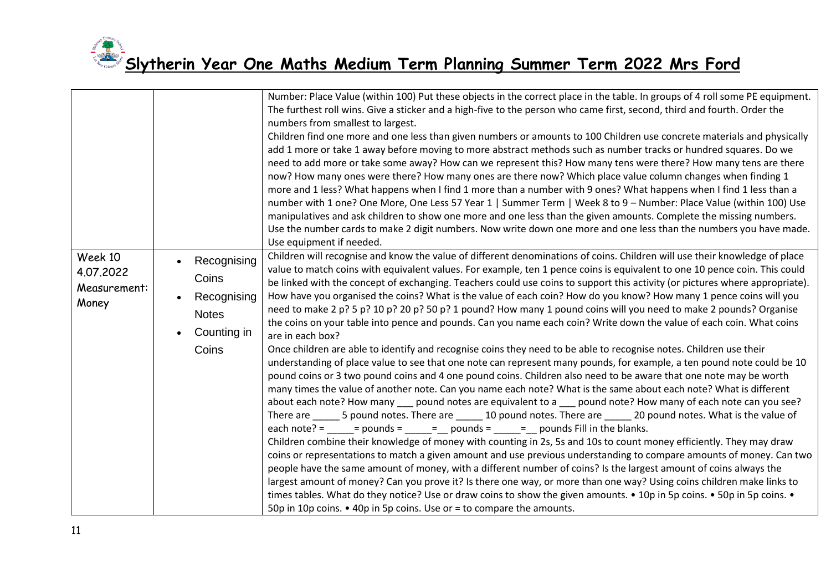| Week 10<br>4.07.2022<br>Measurement:<br>Money | Recognising<br>Coins<br>Recognising<br><b>Notes</b><br>Counting in<br>Coins | Number: Place Value (within 100) Put these objects in the correct place in the table. In groups of 4 roll some PE equipment.<br>The furthest roll wins. Give a sticker and a high-five to the person who came first, second, third and fourth. Order the<br>numbers from smallest to largest.<br>Children find one more and one less than given numbers or amounts to 100 Children use concrete materials and physically<br>add 1 more or take 1 away before moving to more abstract methods such as number tracks or hundred squares. Do we<br>need to add more or take some away? How can we represent this? How many tens were there? How many tens are there<br>now? How many ones were there? How many ones are there now? Which place value column changes when finding 1<br>more and 1 less? What happens when I find 1 more than a number with 9 ones? What happens when I find 1 less than a<br>number with 1 one? One More, One Less 57 Year 1   Summer Term   Week 8 to 9 - Number: Place Value (within 100) Use<br>manipulatives and ask children to show one more and one less than the given amounts. Complete the missing numbers.<br>Use the number cards to make 2 digit numbers. Now write down one more and one less than the numbers you have made.<br>Use equipment if needed.<br>Children will recognise and know the value of different denominations of coins. Children will use their knowledge of place<br>value to match coins with equivalent values. For example, ten 1 pence coins is equivalent to one 10 pence coin. This could<br>be linked with the concept of exchanging. Teachers could use coins to support this activity (or pictures where appropriate).<br>How have you organised the coins? What is the value of each coin? How do you know? How many 1 pence coins will you<br>need to make 2 p? 5 p? 10 p? 20 p? 50 p? 1 pound? How many 1 pound coins will you need to make 2 pounds? Organise<br>the coins on your table into pence and pounds. Can you name each coin? Write down the value of each coin. What coins<br>are in each box?<br>Once children are able to identify and recognise coins they need to be able to recognise notes. Children use their<br>understanding of place value to see that one note can represent many pounds, for example, a ten pound note could be 10<br>pound coins or 3 two pound coins and 4 one pound coins. Children also need to be aware that one note may be worth<br>many times the value of another note. Can you name each note? What is the same about each note? What is different<br>about each note? How many ___ pound notes are equivalent to a ___ pound note? How many of each note can you see?<br>There are 5 pound notes. There are 10 pound notes. There are 20 pound notes. What is the value of<br>each note? = $\qquad$ = $\qquad$ = $\qquad$ = $\qquad$ = $\qquad$ pounds = $\qquad$ = $\qquad$ pounds Fill in the blanks.<br>Children combine their knowledge of money with counting in 2s, 5s and 10s to count money efficiently. They may draw<br>coins or representations to match a given amount and use previous understanding to compare amounts of money. Can two<br>people have the same amount of money, with a different number of coins? Is the largest amount of coins always the<br>largest amount of money? Can you prove it? Is there one way, or more than one way? Using coins children make links to<br>times tables. What do they notice? Use or draw coins to show the given amounts. • 10p in 5p coins. • 50p in 5p coins. • |
|-----------------------------------------------|-----------------------------------------------------------------------------|----------------------------------------------------------------------------------------------------------------------------------------------------------------------------------------------------------------------------------------------------------------------------------------------------------------------------------------------------------------------------------------------------------------------------------------------------------------------------------------------------------------------------------------------------------------------------------------------------------------------------------------------------------------------------------------------------------------------------------------------------------------------------------------------------------------------------------------------------------------------------------------------------------------------------------------------------------------------------------------------------------------------------------------------------------------------------------------------------------------------------------------------------------------------------------------------------------------------------------------------------------------------------------------------------------------------------------------------------------------------------------------------------------------------------------------------------------------------------------------------------------------------------------------------------------------------------------------------------------------------------------------------------------------------------------------------------------------------------------------------------------------------------------------------------------------------------------------------------------------------------------------------------------------------------------------------------------------------------------------------------------------------------------------------------------------------------------------------------------------------------------------------------------------------------------------------------------------------------------------------------------------------------------------------------------------------------------------------------------------------------------------------------------------------------------------------------------------------------------------------------------------------------------------------------------------------------------------------------------------------------------------------------------------------------------------------------------------------------------------------------------------------------------------------------------------------------------------------------------------------------------------------------------------------------------------------------------------------------------------------------------------------------------------------------------------------------------------------------------------------------------------------------------------------------------------------------------------------------------------------------------------------------------------------------------------------------------------------------------------------------------------------------------------------------------------------------------------------------------------------------------------------------------------------------------------|
|                                               |                                                                             | 50p in 10p coins. • 40p in 5p coins. Use or = to compare the amounts.                                                                                                                                                                                                                                                                                                                                                                                                                                                                                                                                                                                                                                                                                                                                                                                                                                                                                                                                                                                                                                                                                                                                                                                                                                                                                                                                                                                                                                                                                                                                                                                                                                                                                                                                                                                                                                                                                                                                                                                                                                                                                                                                                                                                                                                                                                                                                                                                                                                                                                                                                                                                                                                                                                                                                                                                                                                                                                                                                                                                                                                                                                                                                                                                                                                                                                                                                                                                                                                                                          |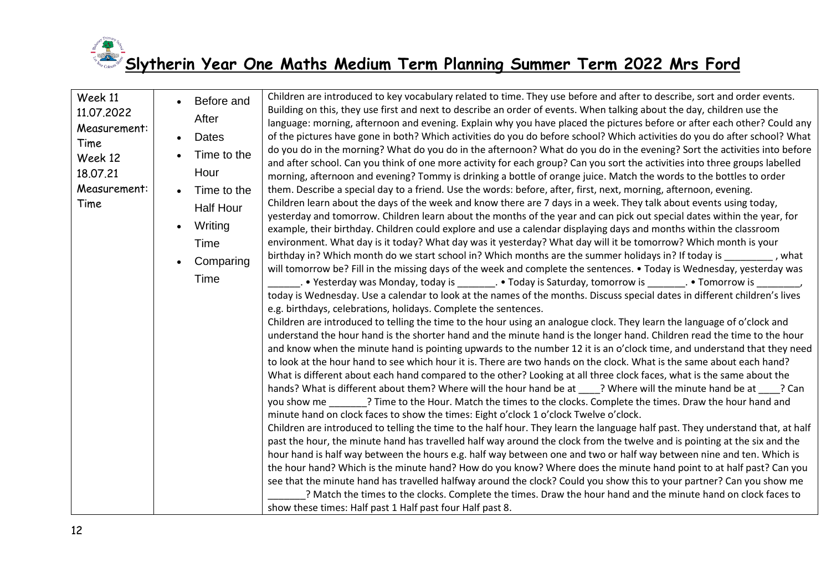

| Week 11<br>11.07.2022<br>Measurement:<br>Time<br>Week 12<br>18.07.21<br>Measurement:<br>Time |  |  | Before and<br>After<br><b>Dates</b><br>Time to the<br>Hour<br>Time to the<br><b>Half Hour</b><br>Writing<br>Time<br>Comparing<br>Time | Children are introduced to key vocabulary related to time. They use before and after to describe, sort and order events.<br>Building on this, they use first and next to describe an order of events. When talking about the day, children use the<br>language: morning, afternoon and evening. Explain why you have placed the pictures before or after each other? Could any<br>of the pictures have gone in both? Which activities do you do before school? Which activities do you do after school? What<br>do you do in the morning? What do you do in the afternoon? What do you do in the evening? Sort the activities into before<br>and after school. Can you think of one more activity for each group? Can you sort the activities into three groups labelled<br>morning, afternoon and evening? Tommy is drinking a bottle of orange juice. Match the words to the bottles to order<br>them. Describe a special day to a friend. Use the words: before, after, first, next, morning, afternoon, evening.<br>Children learn about the days of the week and know there are 7 days in a week. They talk about events using today,<br>yesterday and tomorrow. Children learn about the months of the year and can pick out special dates within the year, for<br>example, their birthday. Children could explore and use a calendar displaying days and months within the classroom<br>environment. What day is it today? What day was it yesterday? What day will it be tomorrow? Which month is your<br>birthday in? Which month do we start school in? Which months are the summer holidays in? If today is ________, what<br>will tomorrow be? Fill in the missing days of the week and complete the sentences. • Today is Wednesday, yesterday was<br>_. • Yesterday was Monday, today is _________. • Today is Saturday, tomorrow is ________. • Tomorrow is _<br>today is Wednesday. Use a calendar to look at the names of the months. Discuss special dates in different children's lives<br>e.g. birthdays, celebrations, holidays. Complete the sentences.<br>Children are introduced to telling the time to the hour using an analogue clock. They learn the language of o'clock and<br>understand the hour hand is the shorter hand and the minute hand is the longer hand. Children read the time to the hour<br>and know when the minute hand is pointing upwards to the number 12 it is an o'clock time, and understand that they need<br>to look at the hour hand to see which hour it is. There are two hands on the clock. What is the same about each hand?<br>What is different about each hand compared to the other? Looking at all three clock faces, what is the same about the<br>hands? What is different about them? Where will the hour hand be at ____? Where will the minute hand be at ____? Can<br>you show me ________? Time to the Hour. Match the times to the clocks. Complete the times. Draw the hour hand and<br>minute hand on clock faces to show the times: Eight o'clock 1 o'clock Twelve o'clock.<br>Children are introduced to telling the time to the half hour. They learn the language half past. They understand that, at half<br>past the hour, the minute hand has travelled half way around the clock from the twelve and is pointing at the six and the<br>hour hand is half way between the hours e.g. half way between one and two or half way between nine and ten. Which is<br>the hour hand? Which is the minute hand? How do you know? Where does the minute hand point to at half past? Can you<br>see that the minute hand has travelled halfway around the clock? Could you show this to your partner? Can you show me<br>? Match the times to the clocks. Complete the times. Draw the hour hand and the minute hand on clock faces to<br>show these times: Half past 1 Half past four Half past 8. |
|----------------------------------------------------------------------------------------------|--|--|---------------------------------------------------------------------------------------------------------------------------------------|-----------------------------------------------------------------------------------------------------------------------------------------------------------------------------------------------------------------------------------------------------------------------------------------------------------------------------------------------------------------------------------------------------------------------------------------------------------------------------------------------------------------------------------------------------------------------------------------------------------------------------------------------------------------------------------------------------------------------------------------------------------------------------------------------------------------------------------------------------------------------------------------------------------------------------------------------------------------------------------------------------------------------------------------------------------------------------------------------------------------------------------------------------------------------------------------------------------------------------------------------------------------------------------------------------------------------------------------------------------------------------------------------------------------------------------------------------------------------------------------------------------------------------------------------------------------------------------------------------------------------------------------------------------------------------------------------------------------------------------------------------------------------------------------------------------------------------------------------------------------------------------------------------------------------------------------------------------------------------------------------------------------------------------------------------------------------------------------------------------------------------------------------------------------------------------------------------------------------------------------------------------------------------------------------------------------------------------------------------------------------------------------------------------------------------------------------------------------------------------------------------------------------------------------------------------------------------------------------------------------------------------------------------------------------------------------------------------------------------------------------------------------------------------------------------------------------------------------------------------------------------------------------------------------------------------------------------------------------------------------------------------------------------------------------------------------------------------------------------------------------------------------------------------------------------------------------------------------------------------------------------------------------------------------------------------------------------------------------------------------------------------------------------------------------------------------------------------------------------------------------------------------------------------------------------------------------------------------------------------------------------------------------------------------------------------------------------------------------------------------------------------------------------------------------------------------------------------------------------------------------------|
|----------------------------------------------------------------------------------------------|--|--|---------------------------------------------------------------------------------------------------------------------------------------|-----------------------------------------------------------------------------------------------------------------------------------------------------------------------------------------------------------------------------------------------------------------------------------------------------------------------------------------------------------------------------------------------------------------------------------------------------------------------------------------------------------------------------------------------------------------------------------------------------------------------------------------------------------------------------------------------------------------------------------------------------------------------------------------------------------------------------------------------------------------------------------------------------------------------------------------------------------------------------------------------------------------------------------------------------------------------------------------------------------------------------------------------------------------------------------------------------------------------------------------------------------------------------------------------------------------------------------------------------------------------------------------------------------------------------------------------------------------------------------------------------------------------------------------------------------------------------------------------------------------------------------------------------------------------------------------------------------------------------------------------------------------------------------------------------------------------------------------------------------------------------------------------------------------------------------------------------------------------------------------------------------------------------------------------------------------------------------------------------------------------------------------------------------------------------------------------------------------------------------------------------------------------------------------------------------------------------------------------------------------------------------------------------------------------------------------------------------------------------------------------------------------------------------------------------------------------------------------------------------------------------------------------------------------------------------------------------------------------------------------------------------------------------------------------------------------------------------------------------------------------------------------------------------------------------------------------------------------------------------------------------------------------------------------------------------------------------------------------------------------------------------------------------------------------------------------------------------------------------------------------------------------------------------------------------------------------------------------------------------------------------------------------------------------------------------------------------------------------------------------------------------------------------------------------------------------------------------------------------------------------------------------------------------------------------------------------------------------------------------------------------------------------------------------------------------------------------------------------------------------------------|